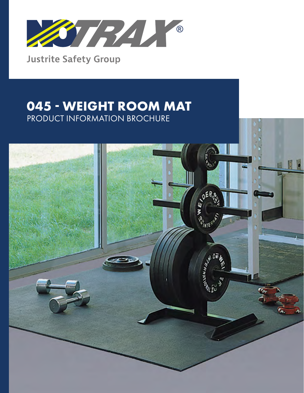

**Justrite Safety Group** 

# **045 - WEIGHT ROOM MAT** PRODUCT INFORMATION BROCHURE

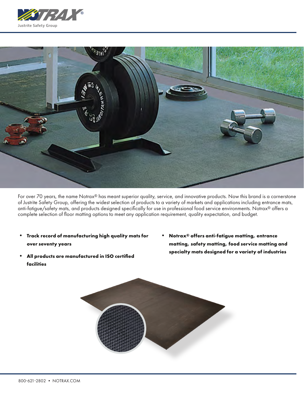



For over 70 years, the name Notrax® has meant superior quality, service, and innovative products. Now this brand is a cornerstone of Justrite Safety Group, offering the widest selection of products to a variety of markets and applications including entrance mats, anti-fatigue/safety mats, and products designed specifically for use in professional food service environments. Notrax® offers a complete selection of floor matting options to meet any application requirement, quality expectation, and budget.

- **• Track record of manufacturing high quality mats for over seventy years**
- **• All products are manufactured in ISO certified facilities**
- **• Notrax® offers anti-fatigue matting, entrance matting, safety matting, food service matting and specialty mats designed for a variety of industries**

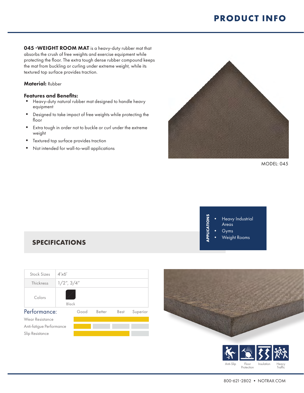045 -WEIGHT ROOM MAT is a heavy-duty rubber mat that absorbs the crush of free weights and exercise equipment while protecting the floor. The extra tough dense rubber compound keeps the mat from buckling or curling under extreme weight, while its textured top surface provides traction.

#### Material: Rubber

#### Features and Benefits:

- Heavy-duty natural rubber mat designed to handle heavy equipment
- Designed to take impact of free weights while protecting the floor
- Extra tough in order not to buckle or curl under the extreme weight
- Textured top surface provides traction
- Not intended for wall-to-wall applications



MODEL: 045



### **SPECIFICATIONS**





Protection